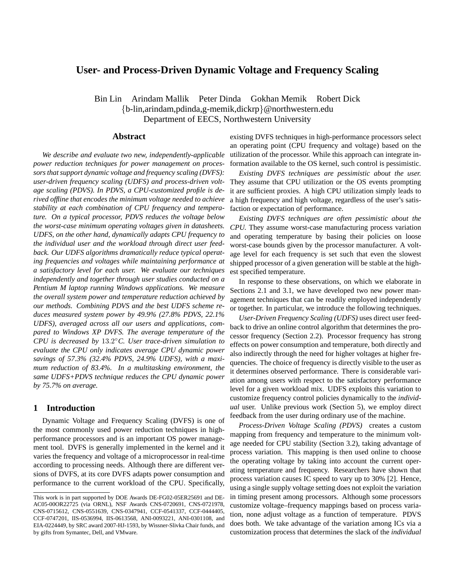# **User- and Process-Driven Dynamic Voltage and Frequency Scaling**

Bin Lin Arindam Mallik Peter Dinda Gokhan Memik Robert Dick {b-lin,arindam,pdinda,g-memik,dickrp}@northwestern.edu Department of EECS, Northwestern University

# **Abstract**

*We describe and evaluate two new, independently-applicable power reduction techniques for power management on processors that support dynamic voltage and frequency scaling (DVFS): user-driven frequency scaling (UDFS) and process-driven voltage scaling (PDVS). In PDVS, a CPU-customized profile is derived offline that encodes the minimum voltage needed to achieve stability at each combination of CPU frequency and temperature. On a typical processor, PDVS reduces the voltage below the worst-case minimum operating voltages given in datasheets. UDFS, on the other hand, dynamically adapts CPU frequency to the individual user and the workload through direct user feedback. Our UDFS algorithms dramatically reduce typical operating frequencies and voltages while maintaining performance at a satisfactory level for each user. We evaluate our techniques independently and together through user studies conducted on a Pentium M laptop running Windows applications. We measure the overall system power and temperature reduction achieved by our methods. Combining PDVS and the best UDFS scheme reduces measured system power by 49.9% (27.8% PDVS, 22.1% UDFS), averaged across all our users and applications, compared to Windows XP DVFS. The average temperature of the CPU is decreased by* 13.2 ◦*C. User trace-driven simulation to evaluate the CPU only indicates average CPU dynamic power savings of 57.3% (32.4% PDVS, 24.9% UDFS), with a maximum reduction of 83.4%. In a multitasking environment, the same UDFS+PDVS technique reduces the CPU dynamic power by 75.7% on average.*

# **1 Introduction**

Dynamic Voltage and Frequency Scaling (DVFS) is one of the most commonly used power reduction techniques in highperformance processors and is an important OS power management tool. DVFS is generally implemented in the kernel and it varies the frequency and voltage of a microprocessor in real-time according to processing needs. Although there are different versions of DVFS, at its core DVFS adapts power consumption and performance to the current workload of the CPU. Specifically,

existing DVFS techniques in high-performance processors select an operating point (CPU frequency and voltage) based on the utilization of the processor. While this approach can integrate information available to the OS kernel, such control is pessimistic.

*Existing DVFS techniques are pessimistic about the user.* They assume that CPU utilization or the OS events prompting it are sufficient proxies. A high CPU utilization simply leads to a high frequency and high voltage, regardless of the user's satisfaction or expectation of performance.

*Existing DVFS techniques are often pessimistic about the CPU.* They assume worst-case manufacturing process variation and operating temperature by basing their policies on loose worst-case bounds given by the processor manufacturer. A voltage level for each frequency is set such that even the slowest shipped processor of a given generation will be stable at the highest specified temperature.

In response to these observations, on which we elaborate in Sections 2.1 and 3.1, we have developed two new power management techniques that can be readily employed independently or together. In particular, we introduce the following techniques.

*User-Driven Frequency Scaling (UDFS)* uses direct user feedback to drive an online control algorithm that determines the processor frequency (Section 2.2). Processor frequency has strong effects on power consumption and temperature, both directly and also indirectly through the need for higher voltages at higher frequencies. The choice of frequency is directly visible to the user as it determines observed performance. There is considerable variation among users with respect to the satisfactory performance level for a given workload mix. UDFS exploits this variation to customize frequency control policies dynamically to the *individual* user. Unlike previous work (Section 5), we employ direct feedback from the user during ordinary use of the machine.

*Process-Driven Voltage Scaling (PDVS)* creates a custom mapping from frequency and temperature to the minimum voltage needed for CPU stability (Section 3.2), taking advantage of process variation. This mapping is then used online to choose the operating voltage by taking into account the current operating temperature and frequency. Researchers have shown that process variation causes IC speed to vary up to 30% [2]. Hence, using a single supply voltage setting does not exploit the variation in timing present among processors. Although some processors customize voltage–frequency mappings based on process variation, none adjust voltage as a function of temperature. PDVS does both. We take advantage of the variation among ICs via a customization process that determines the slack of the *individual*

This work is in part supported by DOE Awards DE-FG02-05ER25691 and DE-AC05-00OR22725 (via ORNL), NSF Awards CNS-0720691, CNS-0721978, CNS-0715612, CNS-0551639, CNS-0347941, CCF-0541337, CCF-0444405, CCF-0747201, IIS-0536994, IIS-0613568, ANI-0093221, ANI-0301108, and EIA-0224449, by SRC award 2007-HJ-1593, by Wissner-Slivka Chair funds, and by gifts from Symantec, Dell, and VMware.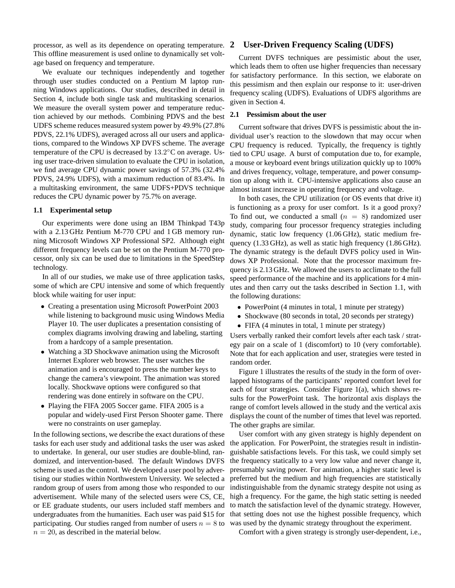processor, as well as its dependence on operating temperature. 2 This offline measurement is used online to dynamically set voltage based on frequency and temperature.

We evaluate our techniques independently and together through user studies conducted on a Pentium M laptop running Windows applications. Our studies, described in detail in Section 4, include both single task and multitasking scenarios. We measure the overall system power and temperature reduction achieved by our methods. Combining PDVS and the best UDFS scheme reduces measured system power by 49.9% (27.8% PDVS, 22.1% UDFS), averaged across all our users and applications, compared to the Windows XP DVFS scheme. The average temperature of the CPU is decreased by  $13.2^{\circ}$ C on average. Using user trace-driven simulation to evaluate the CPU in isolation, we find average CPU dynamic power savings of 57.3% (32.4% PDVS, 24.9% UDFS), with a maximum reduction of 83.4%. In a multitasking environment, the same UDFS+PDVS technique reduces the CPU dynamic power by 75.7% on average.

# **1.1 Experimental setup**

Our experiments were done using an IBM Thinkpad T43p with a 2.13 GHz Pentium M-770 CPU and 1 GB memory running Microsoft Windows XP Professional SP2. Although eight different frequency levels can be set on the Pentium M-770 processor, only six can be used due to limitations in the SpeedStep technology.

In all of our studies, we make use of three application tasks, some of which are CPU intensive and some of which frequently block while waiting for user input:

- Creating a presentation using Microsoft PowerPoint 2003 while listening to background music using Windows Media Player 10. The user duplicates a presentation consisting of complex diagrams involving drawing and labeling, starting from a hardcopy of a sample presentation.
- Watching a 3D Shockwave animation using the Microsoft Internet Explorer web browser. The user watches the animation and is encouraged to press the number keys to change the camera's viewpoint. The animation was stored locally. Shockwave options were configured so that rendering was done entirely in software on the CPU.
- Playing the FIFA 2005 Soccer game. FIFA 2005 is a popular and widely-used First Person Shooter game. There were no constraints on user gameplay.

In the following sections, we describe the exact durations of these tasks for each user study and additional tasks the user was asked to undertake. In general, our user studies are double-blind, randomized, and intervention-based. The default Windows DVFS scheme is used as the control. We developed a user pool by advertising our studies within Northwestern University. We selected a random group of users from among those who responded to our advertisement. While many of the selected users were CS, CE, or EE graduate students, our users included staff members and undergraduates from the humanities. Each user was paid \$15 for participating. Our studies ranged from number of users  $n = 8$  to  $n = 20$ , as described in the material below.

# **2 User-Driven Frequency Scaling (UDFS)**

Current DVFS techniques are pessimistic about the user, which leads them to often use higher frequencies than necessary for satisfactory performance. In this section, we elaborate on this pessimism and then explain our response to it: user-driven frequency scaling (UDFS). Evaluations of UDFS algorithms are given in Section 4.

# **2.1 Pessimism about the user**

Current software that drives DVFS is pessimistic about the individual user's reaction to the slowdown that may occur when CPU frequency is reduced. Typically, the frequency is tightly tied to CPU usage. A burst of computation due to, for example, a mouse or keyboard event brings utilization quickly up to 100% and drives frequency, voltage, temperature, and power consumption up along with it. CPU-intensive applications also cause an almost instant increase in operating frequency and voltage.

In both cases, the CPU utilization (or OS events that drive it) is functioning as a proxy for user comfort. Is it a good proxy? To find out, we conducted a small  $(n = 8)$  randomized user study, comparing four processor frequency strategies including dynamic, static low frequency (1.06 GHz), static medium frequency (1.33 GHz), as well as static high frequency (1.86 GHz). The dynamic strategy is the default DVFS policy used in Windows XP Professional. Note that the processor maximum frequency is 2.13 GHz. We allowed the users to acclimate to the full speed performance of the machine and its applications for 4 minutes and then carry out the tasks described in Section 1.1, with the following durations:

- PowerPoint (4 minutes in total, 1 minute per strategy)
- Shockwave (80 seconds in total, 20 seconds per strategy)
- FIFA (4 minutes in total, 1 minute per strategy)

Users verbally ranked their comfort levels after each task / strategy pair on a scale of 1 (discomfort) to 10 (very comfortable). Note that for each application and user, strategies were tested in random order.

Figure 1 illustrates the results of the study in the form of overlapped histograms of the participants' reported comfort level for each of four strategies. Consider Figure 1(a), which shows results for the PowerPoint task. The horizontal axis displays the range of comfort levels allowed in the study and the vertical axis displays the count of the number of times that level was reported. The other graphs are similar.

User comfort with any given strategy is highly dependent on the application. For PowerPoint, the strategies result in indistinguishable satisfactions levels. For this task, we could simply set the frequency statically to a very low value and never change it, presumably saving power. For animation, a higher static level is preferred but the medium and high frequencies are statistically indistinguishable from the dynamic strategy despite not using as high a frequency. For the game, the high static setting is needed to match the satisfaction level of the dynamic strategy. However, that setting does not use the highest possible frequency, which was used by the dynamic strategy throughout the experiment.

Comfort with a given strategy is strongly user-dependent, i.e.,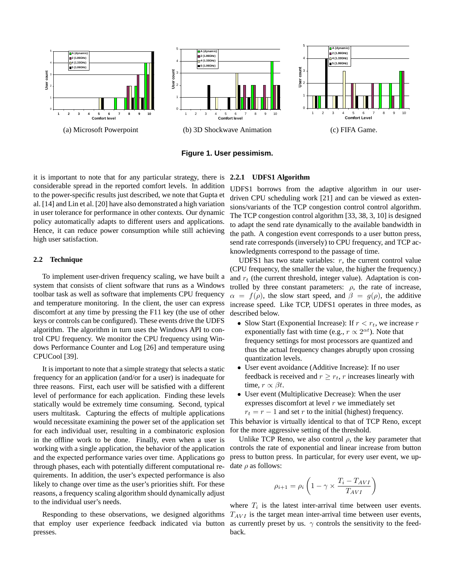

**Figure 1. User pessimism.**

it is important to note that for any particular strategy, there is **2.2.1 UDFS1 Algorithm** considerable spread in the reported comfort levels. In addition to the power-specific results just described, we note that Gupta et al. [14] and Lin et al. [20] have also demonstrated a high variation in user tolerance for performance in other contexts. Our dynamic policy automatically adapts to different users and applications. Hence, it can reduce power consumption while still achieving high user satisfaction.

### **2.2 Technique**

To implement user-driven frequency scaling, we have built a system that consists of client software that runs as a Windows toolbar task as well as software that implements CPU frequency and temperature monitoring. In the client, the user can express discomfort at any time by pressing the F11 key (the use of other keys or controls can be configured). These events drive the UDFS algorithm. The algorithm in turn uses the Windows API to control CPU frequency. We monitor the CPU frequency using Windows Performance Counter and Log [26] and temperature using CPUCool [39].

It is important to note that a simple strategy that selects a static frequency for an application (and/or for a user) is inadequate for three reasons. First, each user will be satisfied with a different level of performance for each application. Finding these levels statically would be extremely time consuming. Second, typical users multitask. Capturing the effects of multiple applications would necessitate examining the power set of the application set for each individual user, resulting in a combinatoric explosion in the offline work to be done. Finally, even when a user is working with a single application, the behavior of the application and the expected performance varies over time. Applications go through phases, each with potentially different computational requirements. In addition, the user's expected performance is also likely to change over time as the user's priorities shift. For these reasons, a frequency scaling algorithm should dynamically adjust to the individual user's needs.

that employ user experience feedback indicated via button presses.

UDFS1 borrows from the adaptive algorithm in our userdriven CPU scheduling work [21] and can be viewed as extensions/variants of the TCP congestion control control algorithm. The TCP congestion control algorithm [33, 38, 3, 10] is designed to adapt the send rate dynamically to the available bandwidth in the path. A congestion event corresponds to a user button press, send rate corresponds (inversely) to CPU frequency, and TCP acknowledgments correspond to the passage of time.

UDFS1 has two state variables:  $r$ , the current control value (CPU frequency, the smaller the value, the higher the frequency.) and  $r_t$  (the current threshold, integer value). Adaptation is controlled by three constant parameters:  $\rho$ , the rate of increase,  $\alpha = f(\rho)$ , the slow start speed, and  $\beta = g(\rho)$ , the additive increase speed. Like TCP, UDFS1 operates in three modes, as described below.

- Slow Start (Exponential Increase): If  $r < r_t$ , we increase r exponentially fast with time (e.g.,  $r \propto 2^{\alpha t}$ ). Note that frequency settings for most processors are quantized and thus the actual frequency changes abruptly upon crossing quantization levels.
- User event avoidance (Additive Increase): If no user feedback is received and  $r \geq r_t$ , r increases linearly with time,  $r \propto \beta t$ .
- User event (Multiplicative Decrease): When the user expresses discomfort at level  $r$  we immediately set
	- $r_t = r 1$  and set r to the initial (highest) frequency.

This behavior is virtually identical to that of TCP Reno, except for the more aggressive setting of the threshold.

Unlike TCP Reno, we also control  $\rho$ , the key parameter that controls the rate of exponential and linear increase from button press to button press. In particular, for every user event, we update  $\rho$  as follows:

$$
\rho_{i+1} = \rho_i \left( 1 - \gamma \times \frac{T_i - T_{AVI}}{T_{AVI}} \right)
$$

Responding to these observations, we designed algorithms  $T_{AVI}$  is the target mean inter-arrival time between user events, where  $T_i$  is the latest inter-arrival time between user events. as currently preset by us.  $\gamma$  controls the sensitivity to the feedback.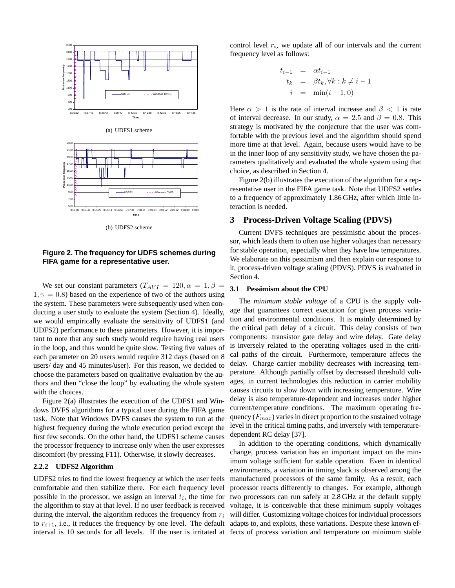



(b) UDFS2 scheme

# **Figure 2. The frequency for UDFS schemes during FIFA game for a representative user.**

We set our constant parameters  $(T_{AVI} = 120, \alpha = 1, \beta = 1)$  $1, \gamma = 0.8$ ) based on the experience of two of the authors using the system. These parameters were subsequently used when conducting a user study to evaluate the system (Section 4). Ideally, we would empirically evaluate the sensitivity of UDFS1 (and UDFS2) performance to these parameters. However, it is important to note that any such study would require having real users in the loop, and thus would be quite slow. Testing five values of each parameter on 20 users would require 312 days (based on 8 users/ day and 45 minutes/user). For this reason, we decided to choose the parameters based on qualitative evaluation by the authors and then "close the loop" by evaluating the whole system with the choices.

Figure 2(a) illustrates the execution of the UDFS1 and Windows DVFS algorithms for a typical user during the FIFA game task. Note that Windows DVFS causes the system to run at the highest frequency during the whole execution period except the first few seconds. On the other hand, the UDFS1 scheme causes the processor frequency to increase only when the user expresses discomfort (by pressing F11). Otherwise, it slowly decreases.

# **2.2.2 UDFS2 Algorithm**

UDFS2 tries to find the lowest frequency at which the user feels comfortable and then stabilize there. For each frequency level possible in the processor, we assign an interval  $t_i$ , the time for the algorithm to stay at that level. If no user feedback is received during the interval, the algorithm reduces the frequency from  $r_i$ interval is 10 seconds for all levels. If the user is irritated at fects of process variation and temperature on minimum stable

control level  $r_i$ , we update all of our intervals and the current frequency level as follows:

$$
t_{i-1} = \alpha t_{i-1}
$$
  
\n
$$
t_k = \beta t_k, \forall k : k \neq i-1
$$
  
\n
$$
i = \min(i-1, 0)
$$

Here  $\alpha > 1$  is the rate of interval increase and  $\beta < 1$  is rate of interval decrease. In our study,  $\alpha = 2.5$  and  $\beta = 0.8$ . This strategy is motivated by the conjecture that the user was comfortable with the previous level and the algorithm should spend more time at that level. Again, because users would have to be in the inner loop of any sensitivity study, we have chosen the parameters qualitatively and evaluated the whole system using that choice, as described in Section 4.

Figure 2(b) illustrates the execution of the algorithm for a representative user in the FIFA game task. Note that UDFS2 settles to a frequency of approximately 1.86 GHz, after which little interaction is needed.

# **3 Process-Driven Voltage Scaling (PDVS)**

Current DVFS techniques are pessimistic about the processor, which leads them to often use higher voltages than necessary for stable operation, especially when they have low temperatures. We elaborate on this pessimism and then explain our response to it, process-driven voltage scaling (PDVS). PDVS is evaluated in Section 4.

# **3.1 Pessimism about the CPU**

The *minimum stable voltage* of a CPU is the supply voltage that guarantees correct execution for given process variation and environmental conditions. It is mainly determined by the critical path delay of a circuit. This delay consists of two components: transistor gate delay and wire delay. Gate delay is inversely related to the operating voltages used in the critical paths of the circuit. Furthermore, temperature affects the delay. Charge carrier mobility decreases with increasing temperature. Although partially offset by decreased threshold voltages, in current technologies this reduction in carrier mobility causes circuits to slow down with increasing temperature. Wire delay is also temperature-dependent and increases under higher current/temperature conditions. The maximum operating frequency  $(F_{max})$  varies in direct proportion to the sustained voltage level in the critical timing paths, and inversely with temperaturedependent RC delay [37].

to  $r_{i+1}$ , i.e., it reduces the frequency by one level. The default adapts to, and exploits, these variations. Despite these known ef-In addition to the operating conditions, which dynamically change, process variation has an important impact on the minimum voltage sufficient for stable operation. Even in identical environments, a variation in timing slack is observed among the manufactured processors of the same family. As a result, each processor reacts differently to changes. For example, although two processors can run safely at 2.8 GHz at the default supply voltage, it is conceivable that these minimum supply voltages will differ. Customizing voltage choices for individual processors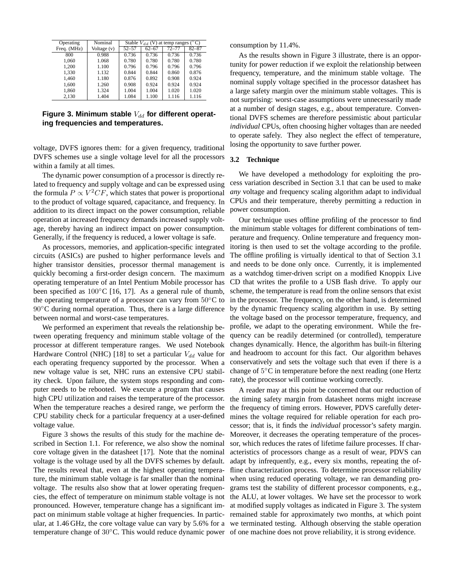| Operating   | Nominal     | (°C)<br>Stable $V_{dd}$ (V) at temp ranges ( $\degree$ |           |           |           |
|-------------|-------------|--------------------------------------------------------|-----------|-----------|-----------|
| Freq. (MHz) | Voltage (v) | $52 - 57$                                              | $62 - 67$ | $72 - 77$ | $82 - 87$ |
| 800         | 0.988       | 0.736                                                  | 0.736     | 0.736     | 0.736     |
| 1.060       | 1.068       | 0.780                                                  | 0.780     | 0.780     | 0.780     |
| 1.200       | 1.100       | 0.796                                                  | 0.796     | 0.796     | 0.796     |
| 1.330       | 1.132       | 0.844                                                  | 0.844     | 0.860     | 0.876     |
| 1.460       | 1.180       | 0.876                                                  | 0.892     | 0.908     | 0.924     |
| 1.600       | 1.260       | 0.908                                                  | 0.924     | 0.924     | 0.924     |
| 1.860       | 1.324       | 1.004                                                  | 1.004     | 1.020     | 1.020     |
| 2.130       | 1.404       | 1.084                                                  | 1.100     | 1.116     | 1.116     |

# Figure 3. Minimum stable  $V_{dd}$  for different operat**ing frequencies and temperatures.**

voltage, DVFS ignores them: for a given frequency, traditional DVFS schemes use a single voltage level for all the processors within a family at all times.

The dynamic power consumption of a processor is directly related to frequency and supply voltage and can be expressed using the formula  $P \propto V^2 C F$ , which states that power is proportional to the product of voltage squared, capacitance, and frequency. In addition to its direct impact on the power consumption, reliable operation at increased frequency demands increased supply voltage, thereby having an indirect impact on power consumption. Generally, if the frequency is reduced, a lower voltage is safe.

As processors, memories, and application-specific integrated circuits (ASICs) are pushed to higher performance levels and higher transistor densities, processor thermal management is quickly becoming a first-order design concern. The maximum operating temperature of an Intel Pentium Mobile processor has been specified as  $100\degree C$  [16, 17]. As a general rule of thumb, the operating temperature of a processor can vary from  $50^{\circ}$ C to 90<sup>°</sup>C during normal operation. Thus, there is a large difference between normal and worst-case temperatures.

We performed an experiment that reveals the relationship between operating frequency and minimum stable voltage of the processor at different temperature ranges. We used Notebook Hardware Control (NHC) [18] to set a particular  $V_{dd}$  value for each operating frequency supported by the processor. When a new voltage value is set, NHC runs an extensive CPU stability check. Upon failure, the system stops responding and computer needs to be rebooted. We execute a program that causes high CPU utilization and raises the temperature of the processor. When the temperature reaches a desired range, we perform the CPU stability check for a particular frequency at a user-defined voltage value.

Figure 3 shows the results of this study for the machine described in Section 1.1. For reference, we also show the nominal core voltage given in the datasheet [17]. Note that the nominal voltage is the voltage used by all the DVFS schemes by default. The results reveal that, even at the highest operating temperature, the minimum stable voltage is far smaller than the nominal voltage. The results also show that at lower operating frequencies, the effect of temperature on minimum stable voltage is not pronounced. However, temperature change has a significant impact on minimum stable voltage at higher frequencies. In partictemperature change of 30℃. This would reduce dynamic power of one machine does not prove reliability, it is strong evidence.

consumption by 11.4%.

As the results shown in Figure 3 illustrate, there is an opportunity for power reduction if we exploit the relationship between frequency, temperature, and the minimum stable voltage. The nominal supply voltage specified in the processor datasheet has a large safety margin over the minimum stable voltages. This is not surprising: worst-case assumptions were unnecessarily made at a number of design stages, e.g., about temperature. Conventional DVFS schemes are therefore pessimistic about particular *individual* CPUs, often choosing higher voltages than are needed to operate safely. They also neglect the effect of temperature, losing the opportunity to save further power.

# **3.2 Technique**

We have developed a methodology for exploiting the process variation described in Section 3.1 that can be used to make *any* voltage and frequency scaling algorithm adapt to individual CPUs and their temperature, thereby permitting a reduction in power consumption.

Our technique uses offline profiling of the processor to find the minimum stable voltages for different combinations of temperature and frequency. Online temperature and frequency monitoring is then used to set the voltage according to the profile. The offline profiling is virtually identical to that of Section 3.1 and needs to be done only once. Currently, it is implemented as a watchdog timer-driven script on a modified Knoppix Live CD that writes the profile to a USB flash drive. To apply our scheme, the temperature is read from the online sensors that exist in the processor. The frequency, on the other hand, is determined by the dynamic frequency scaling algorithm in use. By setting the voltage based on the processor temperature, frequency, and profile, we adapt to the operating environment. While the frequency can be readily determined (or controlled), temperature changes dynamically. Hence, the algorithm has built-in filtering and headroom to account for this fact. Our algorithm behaves conservatively and sets the voltage such that even if there is a change of 5 ◦C in temperature before the next reading (one Hertz rate), the processor will continue working correctly.

ular, at 1.46 GHz, the core voltage value can vary by 5.6% for a we terminated testing. Although observing the stable operation A reader may at this point be concerned that our reduction of the timing safety margin from datasheet norms might increase the frequency of timing errors. However, PDVS carefully determines the voltage required for reliable operation for each processor; that is, it finds the *individual* processor's safety margin. Moreover, it decreases the operating temperature of the processor, which reduces the rates of lifetime failure processes. If characteristics of processors change as a result of wear, PDVS can adapt by infrequently, e.g., every six months, repeating the offline characterization process. To determine processor reliability when using reduced operating voltage, we ran demanding programs test the stability of different processor components, e.g., the ALU, at lower voltages. We have set the processor to work at modified supply voltages as indicated in Figure 3. The system remained stable for approximately two months, at which point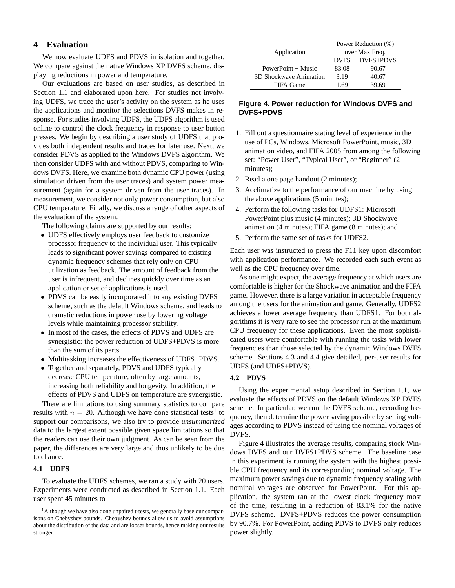# **4 Evaluation**

We now evaluate UDFS and PDVS in isolation and together. We compare against the native Windows XP DVFS scheme, displaying reductions in power and temperature.

Our evaluations are based on user studies, as described in Section 1.1 and elaborated upon here. For studies not involving UDFS, we trace the user's activity on the system as he uses the applications and monitor the selections DVFS makes in response. For studies involving UDFS, the UDFS algorithm is used online to control the clock frequency in response to user button presses. We begin by describing a user study of UDFS that provides both independent results and traces for later use. Next, we consider PDVS as applied to the Windows DVFS algorithm. We then consider UDFS with and without PDVS, comparing to Windows DVFS. Here, we examine both dynamic CPU power (using simulation driven from the user traces) and system power measurement (again for a system driven from the user traces). In measurement, we consider not only power consumption, but also CPU temperature. Finally, we discuss a range of other aspects of the evaluation of the system.

The following claims are supported by our results:

- UDFS effectively employs user feedback to customize processor frequency to the individual user. This typically leads to significant power savings compared to existing dynamic frequency schemes that rely only on CPU utilization as feedback. The amount of feedback from the user is infrequent, and declines quickly over time as an application or set of applications is used.
- PDVS can be easily incorporated into any existing DVFS scheme, such as the default Windows scheme, and leads to dramatic reductions in power use by lowering voltage levels while maintaining processor stability.
- In most of the cases, the effects of PDVS and UDFS are synergistic: the power reduction of UDFS+PDVS is more than the sum of its parts.
- Multitasking increases the effectiveness of UDFS+PDVS.
- Together and separately, PDVS and UDFS typically decrease CPU temperature, often by large amounts, increasing both reliability and longevity. In addition, the effects of PDVS and UDFS on temperature are synergistic.

There are limitations to using summary statistics to compare results with  $n = 20$ . Although we have done statistical tests<sup>1</sup> to support our comparisons, we also try to provide *unsummarized* data to the largest extent possible given space limitations so that the readers can use their own judgment. As can be seen from the paper, the differences are very large and thus unlikely to be due to chance.

## **4.1 UDFS**

To evaluate the UDFS schemes, we ran a study with 20 users. Experiments were conducted as described in Section 1.1. Each user spent 45 minutes to

|                        | Power Reduction (%) |           |  |  |
|------------------------|---------------------|-----------|--|--|
| Application            | over Max Freq.      |           |  |  |
|                        | <b>DVFS</b>         | DVFS+PDVS |  |  |
| PowerPoint $+$ Music   | 83.08               | 90.67     |  |  |
| 3D Shockwave Animation | 3.19                | 40.67     |  |  |
| FIFA Game              | 1.69                | 39.69     |  |  |

# **Figure 4. Power reduction for Windows DVFS and DVFS+PDVS**

- 1. Fill out a questionnaire stating level of experience in the use of PCs, Windows, Microsoft PowerPoint, music, 3D animation video, and FIFA 2005 from among the following set: "Power User", "Typical User", or "Beginner" (2 minutes);
- 2. Read a one page handout (2 minutes);
- 3. Acclimatize to the performance of our machine by using the above applications (5 minutes);
- 4. Perform the following tasks for UDFS1: Microsoft PowerPoint plus music (4 minutes); 3D Shockwave animation (4 minutes); FIFA game (8 minutes); and
- 5. Perform the same set of tasks for UDFS2.

Each user was instructed to press the F11 key upon discomfort with application performance. We recorded each such event as well as the CPU frequency over time.

As one might expect, the average frequency at which users are comfortable is higher for the Shockwave animation and the FIFA game. However, there is a large variation in acceptable frequency among the users for the animation and game. Generally, UDFS2 achieves a lower average frequency than UDFS1. For both algorithms it is very rare to see the processor run at the maximum CPU frequency for these applications. Even the most sophisticated users were comfortable with running the tasks with lower frequencies than those selected by the dynamic Windows DVFS scheme. Sections 4.3 and 4.4 give detailed, per-user results for UDFS (and UDFS+PDVS).

# **4.2 PDVS**

Using the experimental setup described in Section 1.1, we evaluate the effects of PDVS on the default Windows XP DVFS scheme. In particular, we run the DVFS scheme, recording frequency, then determine the power saving possible by setting voltages according to PDVS instead of using the nominal voltages of DVFS.

Figure 4 illustrates the average results, comparing stock Windows DVFS and our DVFS+PDVS scheme. The baseline case in this experiment is running the system with the highest possible CPU frequency and its corresponding nominal voltage. The maximum power savings due to dynamic frequency scaling with nominal voltages are observed for PowerPoint. For this application, the system ran at the lowest clock frequency most of the time, resulting in a reduction of 83.1% for the native DVFS scheme. DVFS+PDVS reduces the power consumption by 90.7%. For PowerPoint, adding PDVS to DVFS only reduces power slightly.

<sup>&</sup>lt;sup>1</sup>Although we have also done unpaired t-tests, we generally base our comparisons on Chebyshev bounds. Chebyshev bounds allow us to avoid assumptions about the distribution of the data and are looser bounds, hence making our results stronger.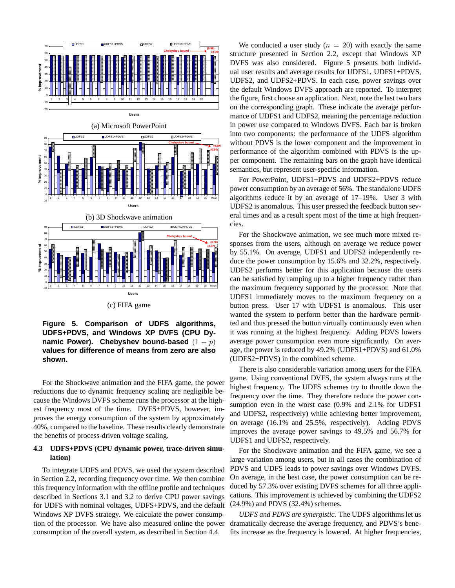

**Figure 5. Comparison of UDFS algorithms, UDFS+PDVS, and Windows XP DVFS (CPU Dy**namic Power). Chebyshev bound-based (1 − p) **values for difference of means from zero are also shown.**

For the Shockwave animation and the FIFA game, the power reductions due to dynamic frequency scaling are negligible because the Windows DVFS scheme runs the processor at the highest frequency most of the time. DVFS+PDVS, however, improves the energy consumption of the system by approximately 40%, compared to the baseline. These results clearly demonstrate the benefits of process-driven voltage scaling.

# **4.3 UDFS+PDVS (CPU dynamic power, trace-driven simulation)**

To integrate UDFS and PDVS, we used the system described in Section 2.2, recording frequency over time. We then combine this frequency information with the offline profile and techniques described in Sections 3.1 and 3.2 to derive CPU power savings for UDFS with nominal voltages, UDFS+PDVS, and the default Windows XP DVFS strategy. We calculate the power consumption of the processor. We have also measured online the power consumption of the overall system, as described in Section 4.4.

We conducted a user study  $(n = 20)$  with exactly the same structure presented in Section 2.2, except that Windows XP DVFS was also considered. Figure 5 presents both individual user results and average results for UDFS1, UDFS1+PDVS, UDFS2, and UDFS2+PDVS. In each case, power savings over the default Windows DVFS approach are reported. To interpret the figure, first choose an application. Next, note the last two bars on the corresponding graph. These indicate the average performance of UDFS1 and UDFS2, meaning the percentage reduction in power use compared to Windows DVFS. Each bar is broken into two components: the performance of the UDFS algorithm without PDVS is the lower component and the improvement in performance of the algorithm combined with PDVS is the upper component. The remaining bars on the graph have identical semantics, but represent user-specific information.

For PowerPoint, UDFS1+PDVS and UDFS2+PDVS reduce power consumption by an average of 56%. The standalone UDFS algorithms reduce it by an average of 17–19%. User 3 with UDFS2 is anomalous. This user pressed the feedback button several times and as a result spent most of the time at high frequencies.

For the Shockwave animation, we see much more mixed responses from the users, although on average we reduce power by 55.1%. On average, UDFS1 and UDFS2 independently reduce the power consumption by 15.6% and 32.2%, respectively. UDFS2 performs better for this application because the users can be satisfied by ramping up to a higher frequency rather than the maximum frequency supported by the processor. Note that UDFS1 immediately moves to the maximum frequency on a button press. User 17 with UDFS1 is anomalous. This user wanted the system to perform better than the hardware permitted and thus pressed the button virtually continuously even when it was running at the highest frequency. Adding PDVS lowers average power consumption even more significantly. On average, the power is reduced by 49.2% (UDFS1+PDVS) and 61.0% (UDFS2+PDVS) in the combined scheme.

There is also considerable variation among users for the FIFA game. Using conventional DVFS, the system always runs at the highest frequency. The UDFS schemes try to throttle down the frequency over the time. They therefore reduce the power consumption even in the worst case (0.9% and 2.1% for UDFS1 and UDFS2, respectively) while achieving better improvement, on average (16.1% and 25.5%, respectively). Adding PDVS improves the average power savings to 49.5% and 56.7% for UDFS1 and UDFS2, respectively.

For the Shockwave animation and the FIFA game, we see a large variation among users, but in all cases the combination of PDVS and UDFS leads to power savings over Windows DVFS. On average, in the best case, the power consumption can be reduced by 57.3% over existing DVFS schemes for all three applications. This improvement is achieved by combining the UDFS2 (24.9%) and PDVS (32.4%) schemes.

*UDFS and PDVS are synergistic.* The UDFS algorithms let us dramatically decrease the average frequency, and PDVS's benefits increase as the frequency is lowered. At higher frequencies,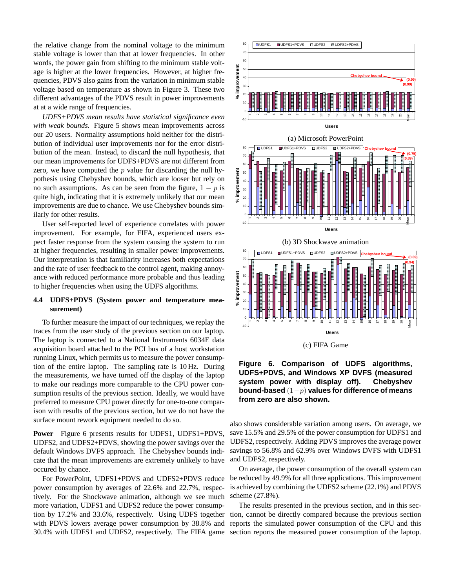the relative change from the nominal voltage to the minimum stable voltage is lower than that at lower frequencies. In other words, the power gain from shifting to the minimum stable voltage is higher at the lower frequencies. However, at higher frequencies, PDVS also gains from the variation in minimum stable voltage based on temperature as shown in Figure 3. These two different advantages of the PDVS result in power improvements at at a wide range of frequencies.

*UDFS+PDVS mean results have statistical significance even with weak bounds.* Figure 5 shows mean improvements across our 20 users. Normality assumptions hold neither for the distribution of individual user improvements nor for the error distribution of the mean. Instead, to discard the null hypothesis, that our mean improvements for UDFS+PDVS are not different from zero, we have computed the  $p$  value for discarding the null hypothesis using Chebyshev bounds, which are looser but rely on no such assumptions. As can be seen from the figure,  $1 - p$  is quite high, indicating that it is extremely unlikely that our mean improvements are due to chance. We use Chebyshev bounds similarly for other results.

User self-reported level of experience correlates with power improvement. For example, for FIFA, experienced users expect faster response from the system causing the system to run at higher frequencies, resulting in smaller power improvements. Our interpretation is that familiarity increases both expectations and the rate of user feedback to the control agent, making annoyance with reduced performance more probable and thus leading to higher frequencies when using the UDFS algorithms.

# **4.4 UDFS+PDVS (System power and temperature measurement)**

To further measure the impact of our techniques, we replay the traces from the user study of the previous section on our laptop. The laptop is connected to a National Instruments 6034E data acquisition board attached to the PCI bus of a host workstation running Linux, which permits us to measure the power consumption of the entire laptop. The sampling rate is 10 Hz. During the measurements, we have turned off the display of the laptop to make our readings more comparable to the CPU power consumption results of the previous section. Ideally, we would have preferred to measure CPU power directly for one-to-one comparison with results of the previous section, but we do not have the surface mount rework equipment needed to do so.

**Power** Figure 6 presents results for UDFS1, UDFS1+PDVS, UDFS2, and UDFS2+PDVS, showing the power savings over the default Windows DVFS approach. The Chebyshev bounds indicate that the mean improvements are extremely unlikely to have occured by chance.

For PowerPoint, UDFS1+PDVS and UDFS2+PDVS reduce power consumption by averages of 22.6% and 22.7%, respectively. For the Shockwave animation, although we see much more variation, UDFS1 and UDFS2 reduce the power consumption by 17.2% and 33.6%, respectively. Using UDFS together with PDVS lowers average power consumption by 38.8% and 30.4% with UDFS1 and UDFS2, respectively. The FIFA game



(c) FIFA Game

**Figure 6. Comparison of UDFS algorithms, UDFS+PDVS, and Windows XP DVFS (measured system power with display off). Chebyshev bound-based** (1−p) **values for difference of means from zero are also shown.**

also shows considerable variation among users. On average, we save 15.5% and 29.5% of the power consumption for UDFS1 and UDFS2, respectively. Adding PDVS improves the average power savings to 56.8% and 62.9% over Windows DVFS with UDFS1 and UDFS2, respectively.

On average, the power consumption of the overall system can be reduced by 49.9% for all three applications. This improvement is achieved by combining the UDFS2 scheme (22.1%) and PDVS scheme (27.8%).

The results presented in the previous section, and in this section, cannot be directly compared because the previous section reports the simulated power consumption of the CPU and this section reports the measured power consumption of the laptop.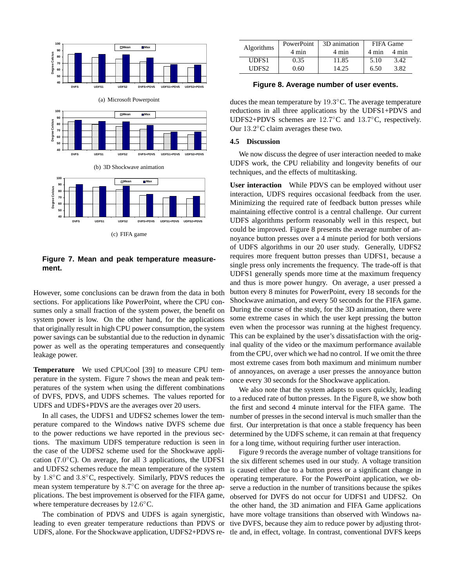

**Figure 7. Mean and peak temperature measurement.**

However, some conclusions can be drawn from the data in both sections. For applications like PowerPoint, where the CPU consumes only a small fraction of the system power, the benefit on system power is low. On the other hand, for the applications that originally result in high CPU power consumption, the system power savings can be substantial due to the reduction in dynamic power as well as the operating temperatures and consequently leakage power.

**Temperature** We used CPUCool [39] to measure CPU temperature in the system. Figure 7 shows the mean and peak temperatures of the system when using the different combinations of DVFS, PDVS, and UDFS schemes. The values reported for UDFS and UDFS+PDVS are the averages over 20 users.

In all cases, the UDFS1 and UDFS2 schemes lower the temperature compared to the Windows native DVFS scheme due to the power reductions we have reported in the previous sections. The maximum UDFS temperature reduction is seen in the case of the UDFS2 scheme used for the Shockwave application (7.0 $\degree$ C). On average, for all 3 applications, the UDFS1 and UDFS2 schemes reduce the mean temperature of the system by 1.8 ◦C and 3.8 ◦C, respectively. Similarly, PDVS reduces the mean system temperature by 8.7°C on average for the three applications. The best improvement is observed for the FIFA game, where temperature decreases by 12.6°C.

UDFS, alone. For the Shockwave application, UDFS2+PDVS re-tle and, in effect, voltage. In contrast, conventional DVFS keeps

| Algorithms   | PowerPoint | 3D animation | FIFA Game |       |
|--------------|------------|--------------|-----------|-------|
|              | 4 min      | 4 min        | 4 min     | 4 min |
| UDES1        | 0.35       | 11.85        | 5.10      | 3.42  |
| <b>HDES2</b> | 0.60       | 14.25        | 6.50      | 3.82  |

**Figure 8. Average number of user events.**

duces the mean temperature by 19.3°C. The average temperature reductions in all three applications by the UDFS1+PDVS and UDFS2+PDVS schemes are 12.7°C and 13.7°C, respectively. Our 13.2°C claim averages these two.

### **4.5 Discussion**

We now discuss the degree of user interaction needed to make UDFS work, the CPU reliability and longevity benefits of our techniques, and the effects of multitasking.

**User interaction** While PDVS can be employed without user interaction, UDFS requires occasional feedback from the user. Minimizing the required rate of feedback button presses while maintaining effective control is a central challenge. Our current UDFS algorithms perform reasonably well in this respect, but could be improved. Figure 8 presents the average number of annoyance button presses over a 4 minute period for both versions of UDFS algorithms in our 20 user study. Generally, UDFS2 requires more frequent button presses than UDFS1, because a single press only increments the frequency. The trade-off is that UDFS1 generally spends more time at the maximum frequency and thus is more power hungry. On average, a user pressed a button every 8 minutes for PowerPoint, every 18 seconds for the Shockwave animation, and every 50 seconds for the FIFA game. During the course of the study, for the 3D animation, there were some extreme cases in which the user kept pressing the button even when the processor was running at the highest frequency. This can be explained by the user's dissatisfaction with the original quality of the video or the maximum performance available from the CPU, over which we had no control. If we omit the three most extreme cases from both maximum and minimum number of annoyances, on average a user presses the annoyance button once every 30 seconds for the Shockwave application.

We also note that the system adapts to users quickly, leading to a reduced rate of button presses. In the Figure 8, we show both the first and second 4 minute interval for the FIFA game. The number of presses in the second interval is much smaller than the first. Our interpretation is that once a stable frequency has been determined by the UDFS scheme, it can remain at that frequency for a long time, without requiring further user interaction.

The combination of PDVS and UDFS is again synergistic, have more voltage transitions than observed with Windows naleading to even greater temperature reductions than PDVS or tive DVFS, because they aim to reduce power by adjusting throt-Figure 9 records the average number of voltage transitions for the six different schemes used in our study. A voltage transition is caused either due to a button press or a significant change in operating temperature. For the PowerPoint application, we observe a reduction in the number of transitions because the spikes observed for DVFS do not occur for UDFS1 and UDFS2. On the other hand, the 3D animation and FIFA Game applications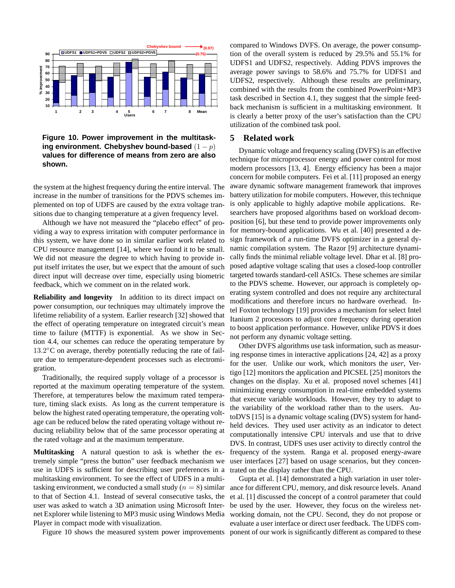

**Figure 10. Power improvement in the multitasking environment. Chebyshev bound-based** (1 − p) **values for difference of means from zero are also shown.**

the system at the highest frequency during the entire interval. The increase in the number of transitions for the PDVS schemes implemented on top of UDFS are caused by the extra voltage transitions due to changing temperature at a given frequency level.

Although we have not measured the "placebo effect" of providing a way to express irritation with computer performance in this system, we have done so in similar earlier work related to CPU resource management [14], where we found it to be small. We did not measure the degree to which having to provide input itself irritates the user, but we expect that the amount of such direct input will decrease over time, especially using biometric feedback, which we comment on in the related work.

**Reliability and longevity** In addition to its direct impact on power consumption, our techniques may ultimately improve the lifetime reliability of a system. Earlier research [32] showed that the effect of operating temperature on integrated circuit's mean time to failure (MTTF) is exponential. As we show in Section 4.4, our schemes can reduce the operating temperature by 13.2°C on average, thereby potentially reducing the rate of failure due to temperature-dependent processes such as electromigration.

Traditionally, the required supply voltage of a processor is reported at the maximum operating temperature of the system. Therefore, at temperatures below the maximum rated temperature, timing slack exists. As long as the current temperature is below the highest rated operating temperature, the operating voltage can be reduced below the rated operating voltage without reducing reliability below that of the same processor operating at the rated voltage and at the maximum temperature.

**Multitasking** A natural question to ask is whether the extremely simple "press the button" user feedback mechanism we use in UDFS is sufficient for describing user preferences in a multitasking environment. To see the effect of UDFS in a multitasking environment, we conducted a small study ( $n = 8$ ) similar to that of Section 4.1. Instead of several consecutive tasks, the user was asked to watch a 3D animation using Microsoft Internet Explorer while listening to MP3 music using Windows Media Player in compact mode with visualization.

compared to Windows DVFS. On average, the power consumption of the overall system is reduced by 29.5% and 55.1% for UDFS1 and UDFS2, respectively. Adding PDVS improves the average power savings to 58.6% and 75.7% for UDFS1 and UDFS2, respectively. Although these results are preliminary, combined with the results from the combined PowerPoint+MP3 task described in Section 4.1, they suggest that the simple feedback mechanism is sufficient in a multitasking environment. It is clearly a better proxy of the user's satisfaction than the CPU utilization of the combined task pool.

# **5 Related work**

Dynamic voltage and frequency scaling (DVFS) is an effective technique for microprocessor energy and power control for most modern processors [13, 4]. Energy efficiency has been a major concern for mobile computers. Fei et al. [11] proposed an energy aware dynamic software management framework that improves battery utilization for mobile computers. However, this technique is only applicable to highly adaptive mobile applications. Researchers have proposed algorithms based on workload decomposition [6], but these tend to provide power improvements only for memory-bound applications. Wu et al. [40] presented a design framework of a run-time DVFS optimizer in a general dynamic compilation system. The Razor [9] architecture dynamically finds the minimal reliable voltage level. Dhar et al. [8] proposed adaptive voltage scaling that uses a closed-loop controller targeted towards standard-cell ASICs. These schemes are similar to the PDVS scheme. However, our approach is completely operating system controlled and does not require any architectural modifications and therefore incurs no hardware overhead. Intel Foxton technology [19] provides a mechanism for select Intel Itanium 2 processors to adjust core frequency during operation to boost application performance. However, unlike PDVS it does not perform any dynamic voltage setting.

Other DVFS algorithms use task information, such as measuring response times in interactive applications [24, 42] as a proxy for the user. Unlike our work, which monitors the *user*, Vertigo [12] monitors the application and PICSEL [25] monitors the changes on the display. Xu et al. proposed novel schemes [41] minimizing energy consumption in real-time embedded systems that execute variable workloads. However, they try to adapt to the variability of the workload rather than to the users. AutoDVS [15] is a dynamic voltage scaling (DVS) system for handheld devices. They used user activity as an indicator to detect computationally intensive CPU intervals and use that to drive DVS. In contrast, UDFS uses user activity to directly control the frequency of the system. Ranga et al. proposed energy-aware user interfaces [27] based on usage scenarios, but they concentrated on the display rather than the CPU.

Figure 10 shows the measured system power improvements ponent of our work is significantly different as compared to theseGupta et al. [14] demonstrated a high variation in user tolerance for different CPU, memory, and disk resource levels. Anand et al. [1] discussed the concept of a control parameter that could be used by the user. However, they focus on the wireless networking domain, not the CPU. Second, they do not propose or evaluate a user interface or direct user feedback. The UDFS com-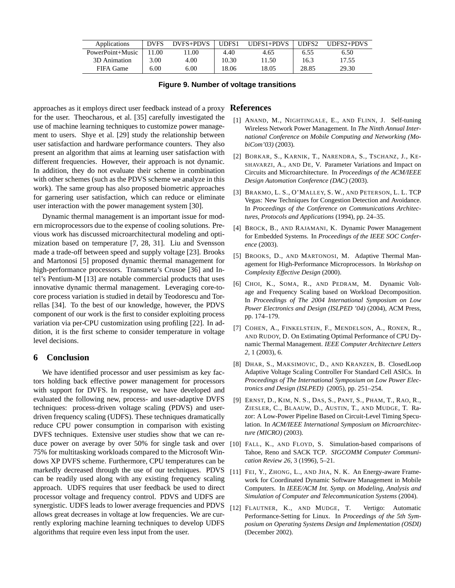| Applications     | <b>DVFS</b>  | DVFS+PDVS | JDFS1 | $UDFS1+PDVS$ | UDFS <sub>2</sub> | $UDFS2+PDVS$ |
|------------------|--------------|-----------|-------|--------------|-------------------|--------------|
| PowerPoint+Music | $00^{\circ}$ | 1.00      | 4.40  | 4.65         | 6.55              | 6.50         |
| 3D Animation     | 3.00         | 4.00      | 10.30 | 1.50         | 16.3              | 17.55        |
| FIFA Game        | 6.00         | 6.00      | 18.06 | 8.05         | 28.85             | 29.30        |

approaches as it employs direct user feedback instead of a proxy **References** for the user. Theocharous, et al. [35] carefully investigated the use of machine learning techniques to customize power management to users. Shye et al. [29] study the relationship between user satisfaction and hardware performance counters. They also present an algorithm that aims at learning user satisfaction with different frequencies. However, their approach is not dynamic. In addition, they do not evaluate their scheme in combination with other schemes (such as the PDVS scheme we analyze in this work). The same group has also proposed biometric approaches for garnering user satisfaction, which can reduce or eliminate user interaction with the power management system [30].

Dynamic thermal management is an important issue for modern microprocessors due to the expense of cooling solutions. Previous work has discussed microarchitectural modeling and optimization based on temperature [7, 28, 31]. Liu and Svensson made a trade-off between speed and supply voltage [23]. Brooks and Martonosi [5] proposed dynamic thermal management for high-performance processors. Transmeta's Crusoe [36] and Intel's Pentium-M [13] are notable commercial products that uses innovative dynamic thermal management. Leveraging core-tocore process variation is studied in detail by Teodorescu and Torrellas [34]. To the best of our knowledge, however, the PDVS component of our work is the first to consider exploiting process variation via per-CPU customization using profiling [22]. In addition, it is the first scheme to consider temperature in voltage level decisions.

# **6 Conclusion**

We have identified processor and user pessimism as key factors holding back effective power management for processors with support for DVFS. In response, we have developed and evaluated the following new, process- and user-adaptive DVFS techniques: process-driven voltage scaling (PDVS) and userdriven frequency scaling (UDFS). These techniques dramatically reduce CPU power consumption in comparison with existing DVFS techniques. Extensive user studies show that we can reduce power on average by over 50% for single task and over 75% for multitasking workloads compared to the Microsoft Windows XP DVFS scheme. Furthermore, CPU temperatures can be markedly decreased through the use of our techniques. PDVS can be readily used along with any existing frequency scaling approach. UDFS requires that user feedback be used to direct processor voltage and frequency control. PDVS and UDFS are synergistic. UDFS leads to lower average frequencies and PDVS allows great decreases in voltage at low frequencies. We are currently exploring machine learning techniques to develop UDFS algorithms that require even less input from the user.

- [1] ANAND, M., NIGHTINGALE, E., AND FLINN, J. Self-tuning Wireless Network Power Management. In *The Ninth Annual International Conference on Mobile Computing and Networking (MobiCom'03)* (2003).
- [2] BORKAR, S., KARNIK, T., NARENDRA, S., TSCHANZ, J., KE-SHAVARZI, A., AND DE, V. Parameter Variations and Impact on Circuits and Microarchitecture. In *Proceedings of the ACM/IEEE Design Automation Conference (DAC)* (2003).
- [3] BRAKMO, L. S., O'MALLEY, S. W., AND PETERSON, L. L. TCP Vegas: New Techniques for Congestion Detection and Avoidance. In *Proceedings of the Conference on Communications Architectures, Protocols and Applications* (1994), pp. 24–35.
- [4] BROCK, B., AND RAJAMANI, K. Dynamic Power Management for Embedded Systems. In *Proceedings of the IEEE SOC Conference* (2003).
- [5] BROOKS, D., AND MARTONOSI, M. Adaptive Thermal Management for High-Performance Microprocessors. In *Workshop on Complexity Effective Design* (2000).
- [6] CHOI, K., SOMA, R., AND PEDRAM, M. Dynamic Voltage and Frequency Scaling based on Workload Decomposition. In *Proceedings of The 2004 International Symposium on Low Power Electronics and Design (ISLPED '04)* (2004), ACM Press, pp. 174–179.
- [7] COHEN, A., FINKELSTEIN, F., MENDELSON, A., RONEN, R., AND RUDOY, D. On Estimating Optimal Performance of CPU Dynamic Thermal Management. *IEEE Computer Architecture Letters 2*, 1 (2003), 6.
- [8] DHAR, S., MAKSIMOVIC, D., AND KRANZEN, B. ClosedLoop Adaptive Voltage Scaling Controller For Standard Cell ASICs. In *Proceedings of The International Symposium on Low Power Electronics and Design (ISLPED)* (2005), pp. 251–254.
- [9] ERNST, D., KIM, N. S., DAS, S., PANT, S., PHAM, T., RAO, R., ZIESLER, C., BLAAUW, D., AUSTIN, T., AND MUDGE, T. Razor: A Low-Power Pipeline Based on Circuit-Level Timing Speculation. In *ACM/IEEE International Symposium on Microarchitecture (MICRO)* (2003).
- [10] FALL, K., AND FLOYD, S. Simulation-based comparisons of Tahoe, Reno and SACK TCP. *SIGCOMM Computer Communication Review 26*, 3 (1996), 5–21.
- [11] FEI, Y., ZHONG, L., AND JHA, N. K. An Energy-aware Framework for Coordinated Dynamic Software Management in Mobile Computers. In *IEEE/ACM Int. Symp. on Modeling, Analysis and Simulation of Computer and Telecommunication Systems* (2004).
- [12] FLAUTNER, K., AND MUDGE, T. Vertigo: Automatic Performance-Setting for Linux. In *Proceedings of the 5th Symposium on Operating Systems Design and Implementation (OSDI)* (December 2002).